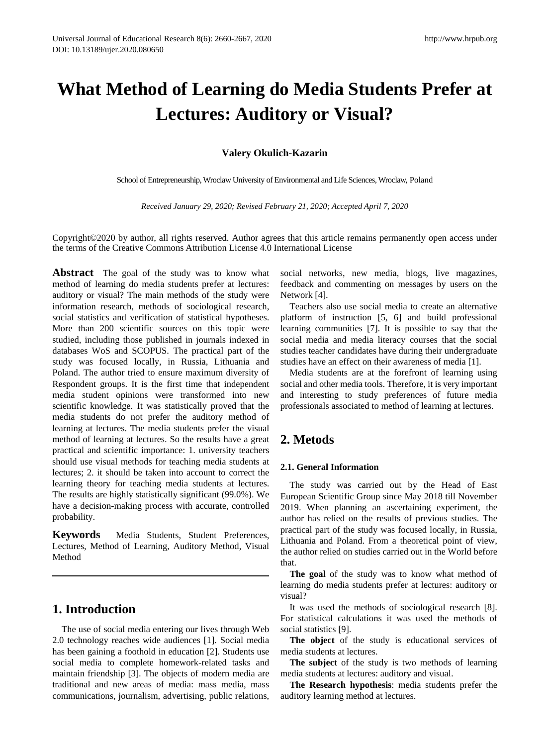# **What Method of Learning do Media Students Prefer at Lectures: Auditory or Visual?**

## **Valery Okulich-Kazarin**

School of Entrepreneurship, Wroclaw University of Environmental and Life Sciences, Wroclaw, Poland

*Received January 29, 2020; Revised February 21, 2020; Accepted April 7, 2020*

Copyright©2020 by author, all rights reserved. Author agrees that this article remains permanently open access under the terms of the Creative Commons Attribution License 4.0 International License

**Abstract** The goal of the study was to know what method of learning do media students prefer at lectures: auditory or visual? The main methods of the study were information research, methods of sociological research, social statistics and verification of statistical hypotheses. More than 200 scientific sources on this topic were studied, including those published in journals indexed in databases WoS and SCOPUS. The practical part of the study was focused locally, in Russia, Lithuania and Poland. The author tried to ensure maximum diversity of Respondent groups. It is the first time that independent media student opinions were transformed into new scientific knowledge. It was statistically proved that the media students do not prefer the auditory method of learning at lectures. The media students prefer the visual method of learning at lectures. So the results have a great practical and scientific importance: 1. university teachers should use visual methods for teaching media students at lectures; 2. it should be taken into account to correct the learning theory for teaching media students at lectures. The results are highly statistically significant (99.0%). We have a decision-making process with accurate, controlled probability.

**Keywords** Media Students, Student Preferences, Lectures, Method of Learning, Auditory Method, Visual Method

## **1. Introduction**

The use of social media entering our lives through Web 2.0 technology reaches wide audiences [1]. Social media has been gaining a foothold in education [2]. Students use social media to complete homework-related tasks and maintain friendship [3]. The objects of modern media are traditional and new areas of media: mass media, mass communications, journalism, advertising, public relations,

social networks, new media, blogs, live magazines, feedback and commenting on messages by users on the Network [4].

Teachers also use social media to create an alternative platform of instruction [5, 6] and build professional learning communities [7]. It is possible to say that the social media and media literacy courses that the social studies teacher candidates have during their undergraduate studies have an effect on their awareness of media [1].

Media students are at the forefront of learning using social and other media tools. Therefore, it is very important and interesting to study preferences of future media professionals associated to method of learning at lectures.

# **2. Metods**

#### **2.1. General Information**

The study was carried out by the Head of East European Scientific Group since May 2018 till November 2019. When planning an ascertaining experiment, the author has relied on the results of previous studies. The practical part of the study was focused locally, in Russia, Lithuania and Poland. From a theoretical point of view, the author relied on studies carried out in the World before that.

**The goal** of the study was to know what method of learning do media students prefer at lectures: auditory or visual?

It was used the methods of sociological research [8]. For statistical calculations it was used the methods of social statistics [9].

**The object** of the study is educational services of media students at lectures.

**The subject** of the study is two methods of learning media students at lectures: auditory and visual.

**The Research hypothesis**: media students prefer the auditory learning method at lectures.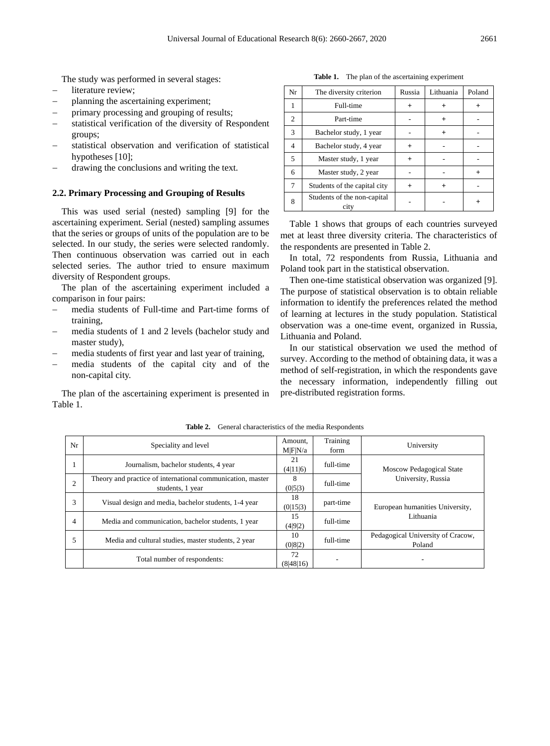The study was performed in several stages:

- literature review;
- − planning the ascertaining experiment;
- primary processing and grouping of results;
- statistical verification of the diversity of Respondent groups;
- statistical observation and verification of statistical hypotheses [10];
- drawing the conclusions and writing the text.

#### **2.2. Primary Processing and Grouping of Results**

This was used serial (nested) sampling [9] for the ascertaining experiment. Serial (nested) sampling assumes that the series or groups of units of the population are to be selected. In our study, the series were selected randomly. Then continuous observation was carried out in each selected series. The author tried to ensure maximum diversity of Respondent groups.

The plan of the ascertaining experiment included a comparison in four pairs:

- − media students of Full-time and Part-time forms of training,
- − media students of 1 and 2 levels (bachelor study and master study),
- media students of first year and last year of training,
- media students of the capital city and of the non-capital city.

The plan of the ascertaining experiment is presented in Table 1.

|  |  |  | <b>Table 1.</b> The plan of the ascertaining experiment |  |
|--|--|--|---------------------------------------------------------|--|
|--|--|--|---------------------------------------------------------|--|

| Nr             | The diversity criterion             | Russia    | Lithuania | Poland    |
|----------------|-------------------------------------|-----------|-----------|-----------|
|                | Full-time                           | $^+$      | $^{+}$    |           |
| $\overline{c}$ | Part-time                           |           | $\ddot{}$ |           |
| 3              | Bachelor study, 1 year              |           | $\ddot{}$ |           |
| 4              | Bachelor study, 4 year              | $\ddot{}$ |           |           |
| 5              | Master study, 1 year                | $\div$    |           |           |
| 6              | Master study, 2 year                |           |           | $\ddot{}$ |
| 7              | Students of the capital city        | $\ddot{}$ | $\ddot{}$ |           |
| 8              | Students of the non-capital<br>city |           |           |           |

Table 1 shows that groups of each countries surveyed met at least three diversity criteria. The characteristics of the respondents are presented in Table 2.

In total, 72 respondents from Russia, Lithuania and Poland took part in the statistical observation.

Then one-time statistical observation was organized [9]. The purpose of statistical observation is to obtain reliable information to identify the preferences related the method of learning at lectures in the study population. Statistical observation was a one-time event, organized in Russia, Lithuania and Poland.

In our statistical observation we used the method of survey. According to the method of obtaining data, it was a method of self-registration, in which the respondents gave the necessary information, independently filling out pre-distributed registration forms.

| Nr             | Speciality and level                                                           | Amount,<br>M F N/a | Training<br>form | University                                  |  |  |
|----------------|--------------------------------------------------------------------------------|--------------------|------------------|---------------------------------------------|--|--|
|                | Journalism, bachelor students, 4 year                                          | 21<br>(4 11 6)     | full-time        | <b>Moscow Pedagogical State</b>             |  |  |
| $\overline{2}$ | Theory and practice of international communication, master<br>students, 1 year | 8<br>(0 5 3)       | full-time        | University, Russia                          |  |  |
| 3              | Visual design and media, bachelor students, 1-4 year                           | 18<br>(0 15 3)     | part-time        | European humanities University,             |  |  |
| 4              | Media and communication, bachelor students, 1 year                             | 15<br>(4 9 2)      | full-time        | Lithuania                                   |  |  |
|                | Media and cultural studies, master students, 2 year                            | 10<br>(0 8 2)      | full-time        | Pedagogical University of Cracow,<br>Poland |  |  |
|                | Total number of respondents:                                                   | 72<br>(8 48 16)    |                  |                                             |  |  |

**Table 2.** General characteristics of the media Respondents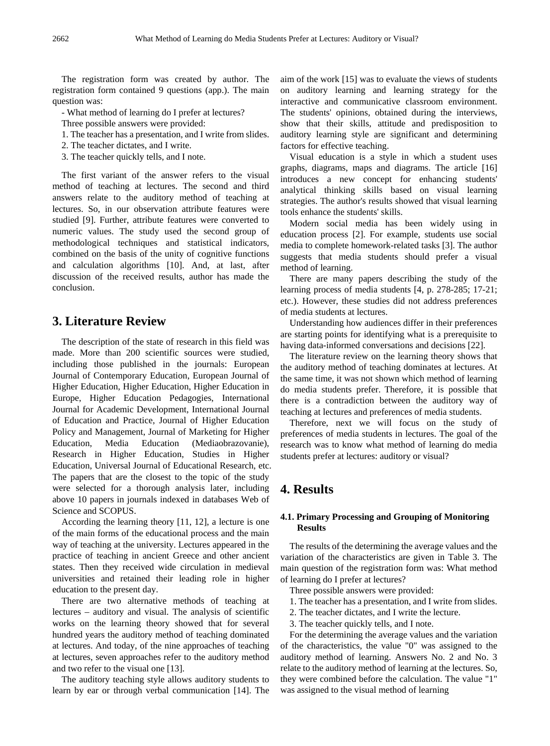The registration form was created by author. The registration form contained 9 questions (app.). The main question was:

- What method of learning do I prefer at lectures?

- Three possible answers were provided:
- 1. The teacher has a presentation, and I write from slides.
- 2. The teacher dictates, and I write.
- 3. The teacher quickly tells, and I note.

The first variant of the answer refers to the visual method of teaching at lectures. The second and third answers relate to the auditory method of teaching at lectures. So, in our observation attribute features were studied [9]. Further, attribute features were converted to numeric values. The study used the second group of methodological techniques and statistical indicators, combined on the basis of the unity of cognitive functions and calculation algorithms [10]. And, at last, after discussion of the received results, author has made the conclusion.

## **3. Literature Review**

The description of the state of research in this field was made. More than 200 scientific sources were studied, including those published in the journals: European Journal of Contemporary Education, European Journal of Higher Education, Higher Education, Higher Education in Europe, Higher Education Pedagogies, International Journal for Academic Development, International Journal of Education and Practice, Journal of Higher Education Policy and Management, Journal of Marketing for Higher Education, Media Education (Mediaobrazovanie), Research in Higher Education, Studies in Higher Education, Universal Journal of Educational Research, etc. The papers that are the closest to the topic of the study were selected for a thorough analysis later, including above 10 papers in journals indexed in databases Web of Science and SCOPUS.

According the learning theory [11, 12], a lecture is one of the main forms of the educational process and the main way of teaching at the university. Lectures appeared in the practice of teaching in ancient Greece and other ancient states. Then they received wide circulation in medieval universities and retained their leading role in higher education to the present day.

There are two alternative methods of teaching at lectures – auditory and visual. The analysis of scientific works on the learning theory showed that for several hundred years the auditory method of teaching dominated at lectures. And today, of the nine approaches of teaching at lectures, seven approaches refer to the auditory method and two refer to the visual one [13].

The auditory teaching style allows auditory students to learn by ear or through verbal communication [14]. The aim of the work [15] was to evaluate the views of students on auditory learning and learning strategy for the interactive and communicative classroom environment. The students' opinions, obtained during the interviews, show that their skills, attitude and predisposition to auditory learning style are significant and determining factors for effective teaching.

Visual education is a style in which a student uses graphs, diagrams, maps and diagrams. The article [16] introduces a new concept for enhancing students' analytical thinking skills based on visual learning strategies. The author's results showed that visual learning tools enhance the students' skills.

Modern social media has been widely using in education process [2]. For example, students use social media to complete homework-related tasks [3]. The author suggests that media students should prefer a visual method of learning.

There are many papers describing the study of the learning process of media students [4, p. 278-285; 17-21; etc.). However, these studies did not address preferences of media students at lectures.

Understanding how audiences differ in their preferences are starting points for identifying what is a prerequisite to having data-informed conversations and decisions [22].

The literature review on the learning theory shows that the auditory method of teaching dominates at lectures. At the same time, it was not shown which method of learning do media students prefer. Therefore, it is possible that there is a contradiction between the auditory way of teaching at lectures and preferences of media students.

Therefore, next we will focus on the study of preferences of media students in lectures. The goal of the research was to know what method of learning do media students prefer at lectures: auditory or visual?

## **4. Results**

#### **4.1. Primary Processing and Grouping of Monitoring Results**

The results of the determining the average values and the variation of the characteristics are given in Table 3. The main question of the registration form was: What method of learning do I prefer at lectures?

Three possible answers were provided:

- 1. The teacher has a presentation, and I write from slides.
- 2. The teacher dictates, and I write the lecture.
- 3. The teacher quickly tells, and I note.

For the determining the average values and the variation of the characteristics, the value "0" was assigned to the auditory method of learning. Answers No. 2 and No. 3 relate to the auditory method of learning at the lectures. So, they were combined before the calculation. The value "1" was assigned to the visual method of learning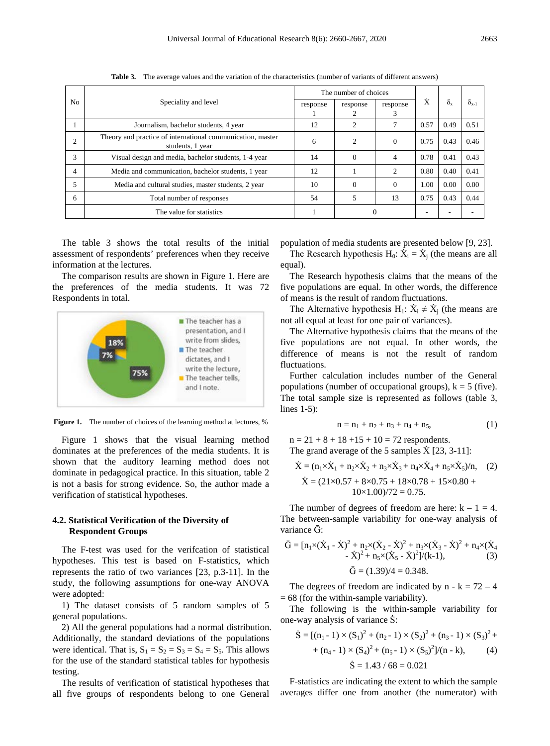|                |                                                                                | The number of choices |                |                |      |                  |                |
|----------------|--------------------------------------------------------------------------------|-----------------------|----------------|----------------|------|------------------|----------------|
| N <sub>0</sub> | Speciality and level                                                           | response              | response       | response<br>3  | Ÿ    | $\delta_{\rm x}$ | $\delta_{x-1}$ |
|                | Journalism, bachelor students, 4 year                                          | 12                    | 2              |                | 0.57 | 0.49             | 0.51           |
| 2              | Theory and practice of international communication, master<br>students, 1 year | 6                     | $\overline{c}$ | $\Omega$       | 0.75 | 0.43             | 0.46           |
| 3              | Visual design and media, bachelor students, 1-4 year                           | 14                    | $\Omega$       | $\overline{4}$ | 0.78 | 0.41             | 0.43           |
| 4              | Media and communication, bachelor students, 1 year                             | 12                    |                | $\overline{c}$ | 0.80 | 0.40             | 0.41           |
| 5              | Media and cultural studies, master students, 2 year                            | 10                    | $\Omega$       | $\Omega$       | 1.00 | 0.00             | 0.00           |
| 6              | Total number of responses                                                      | 54                    | 5              | 13             | 0.75 | 0.43             | 0.44           |
|                | The value for statistics                                                       |                       |                |                | ٠    |                  |                |

**Table 3.** The average values and the variation of the characteristics (number of variants of different answers)

The table 3 shows the total results of the initial assessment of respondents' preferences when they receive information at the lectures.

The comparison results are shown in Figure 1. Here are the preferences of the media students. It was 72 Respondents in total.



Figure 1. The number of choices of the learning method at lectures, %

Figure 1 shows that the visual learning method dominates at the preferences of the media students. It is shown that the auditory learning method does not dominate in pedagogical practice. In this situation, table 2 is not a basis for strong evidence. So, the author made a verification of statistical hypotheses.

#### **4.2. Statistical Verification of the Diversity of Respondent Groups**

The F-test was used for the verifcation of statistical hypotheses. This test is based on F-statistics, which represents the ratio of two variances [23, p.3-11]. In the study, the following assumptions for one-way ANOVA were adopted:

1) The dataset consists of 5 random samples of 5 general populations.

2) All the general populations had a normal distribution. Additionally, the standard deviations of the populations were identical. That is,  $S_1 = S_2 = S_3 = S_4 = S_5$ . This allows for the use of the standard statistical tables for hypothesis testing.

The results of verification of statistical hypotheses that all five groups of respondents belong to one General

population of media students are presented below [9, 23].

The Research hypothesis H<sub>0</sub>:  $\dot{X}_i = \dot{X}_i$  (the means are all equal).

The Research hypothesis claims that the means of the five populations are equal. In other words, the difference of means is the result of random fluctuations.

The Alternative hypothesis H<sub>1</sub>:  $\dot{X}_i \neq \dot{X}_i$  (the means are not all equal at least for one pair of variances).

The Alternative hypothesis claims that the means of the five populations are not equal. In other words, the difference of means is not the result of random fluctuations.

Further calculation includes number of the General populations (number of occupational groups),  $k = 5$  (five). The total sample size is represented as follows (table 3, lines 1-5):

$$
n = n_1 + n_2 + n_3 + n_4 + n_5, \tag{1}
$$

 $n = 21 + 8 + 18 + 15 + 10 = 72$  respondents. The grand average of the 5 samples  $\dot{X}$  [23, 3-11]:

$$
\dot{X} = (n_1 \times \dot{X}_1 + n_2 \times \dot{X}_2 + n_3 \times \dot{X}_3 + n_4 \times \dot{X}_4 + n_5 \times \dot{X}_5)/n, \quad (2)
$$
\n
$$
\dot{X} = (21 \times 0.57 + 8 \times 0.75 + 18 \times 0.78 + 15 \times 0.80 + 10 \times 1.00)/72 = 0.75.
$$

The number of degrees of freedom are here:  $k - 1 = 4$ . The between-sample variability for one-way analysis of variance  $\bar{G}$ :

$$
\bar{G} = [n_1 \times (\dot{X}_1 - \dot{X})^2 + n_2 \times (\dot{X}_2 - \dot{X})^2 + n_3 \times (\dot{X}_3 - \dot{X})^2 + n_4 \times (\dot{X}_4 - \dot{X})^2 + n_5 \times (\dot{X}_5 - \dot{X})^2]/(k-1),
$$
\n
$$
\bar{G} = (1.39)/4 = 0.348.
$$
\n(3)

The degrees of freedom are indicated by  $n - k = 72 - 4$  $= 68$  (for the within-sample variability).

The following is the within-sample variability for one-way analysis of variance  $\dot{S}$ :

$$
\dot{S} = [(n_1 - 1) \times (S_1)^2 + (n_2 - 1) \times (S_2)^2 + (n_3 - 1) \times (S_3)^2 + (n_4 - 1) \times (S_4)^2 + (n_5 - 1) \times (S_5)^2]/(n - k),
$$
\n
$$
\dot{S} = 1.43 / 68 = 0.021
$$
\n(4)

F-statistics are indicating the extent to which the sample averages differ one from another (the numerator) with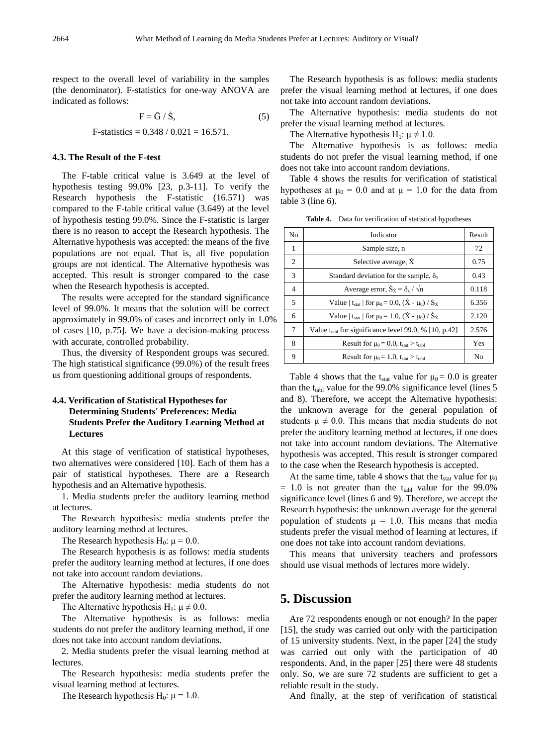respect to the overall level of variability in the samples (the denominator). F-statistics for one-way ANOVA are indicated as follows:

$$
F = G / S,
$$
 (5)  
F-statistics = 0.348 / 0.021 = 16.571.

#### **4.3. The Result of the F-test**

The F-table critical value is 3.649 at the level of hypothesis testing 99.0% [23, p.3-11]. To verify the Research hypothesis the F-statistic (16.571) was compared to the F-table critical value (3.649) at the level of hypothesis testing 99.0%. Since the F-statistic is larger there is no reason to accept the Research hypothesis. The Alternative hypothesis was accepted: the means of the five populations are not equal. That is, all five population groups are not identical. The Alternative hypothesis was accepted. This result is stronger compared to the case when the Research hypothesis is accepted.

The results were accepted for the standard significance level of 99.0%. It means that the solution will be correct approximately in 99.0% of cases and incorrect only in 1.0% of cases [10, p.75]. We have a decision-making process with accurate, controlled probability.

Thus, the diversity of Respondent groups was secured. The high statistical significance (99.0%) of the result frees us from questioning additional groups of respondents.

## **4.4. Verification of Statistical Hypotheses for Determining Students' Preferences: Media Students Prefer the Auditory Learning Method at Lectures**

At this stage of verification of statistical hypotheses, two alternatives were considered [10]. Each of them has a pair of statistical hypotheses. There are a Research hypothesis and an Alternative hypothesis.

1. Media students prefer the auditory learning method at lectures.

The Research hypothesis: media students prefer the auditory learning method at lectures.

The Research hypothesis H<sub>0</sub>:  $\mu$  = 0.0.

The Research hypothesis is as follows: media students prefer the auditory learning method at lectures, if one does not take into account random deviations.

The Alternative hypothesis: media students do not prefer the auditory learning method at lectures.

The Alternative hypothesis H<sub>1</sub>:  $\mu \neq 0.0$ .

The Alternative hypothesis is as follows: media students do not prefer the auditory learning method, if one does not take into account random deviations.

2. Media students prefer the visual learning method at lectures.

The Research hypothesis: media students prefer the visual learning method at lectures.

The Research hypothesis  $H_0$ :  $\mu = 1.0$ .

The Research hypothesis is as follows: media students prefer the visual learning method at lectures, if one does not take into account random deviations.

The Alternative hypothesis: media students do not prefer the visual learning method at lectures.

The Alternative hypothesis Η<sub>1</sub>:  $\mu \neq 1.0$ .

The Alternative hypothesis is as follows: media students do not prefer the visual learning method, if one does not take into account random deviations.

Table 4 shows the results for verification of statistical hypotheses at  $\mu_0 = 0.0$  and at  $\mu = 1.0$  for the data from table 3 (line 6).

| N <sub>0</sub> | Indicator                                                                               | Result         |
|----------------|-----------------------------------------------------------------------------------------|----------------|
| 1              | Sample size, n                                                                          | 72             |
| 2              | Selective average, X                                                                    | 0.75           |
| 3              | Standard deviation for the sample, $\delta_{x}$                                         | 0.43           |
| $\overline{4}$ | Average error, $\dot{S}_{\dot{x}} = \delta_{x} / \sqrt{n}$                              | 0.118          |
| 5              | Value   t <sub>stat</sub>   for $\mu_0 = 0.0$ , $(\dot{X} - \mu_0) / \dot{S}_{\dot{X}}$ | 6.356          |
| 6              | Value   t <sub>stat</sub>   for $\mu_0 = 1.0$ , $(\dot{X} - \mu_0) / \dot{S}_{\dot{X}}$ | 2.120          |
| 7              | Value $t_{tabl}$ for significance level 99.0, % [10, p.42]                              | 2.576          |
| 8              | Result for $\mu_0 = 0.0$ , $t_{stat} > t_{tabl}$                                        | Yes            |
| 9              | Result for $\mu_0 = 1.0$ , $t_{stat} > t_{tabl}$                                        | N <sub>0</sub> |

**Table 4.** Data for verification of statistical hypotheses

Table 4 shows that the t<sub>stat</sub> value for  $\mu_0 = 0.0$  is greater than the  $t_{tabl}$  value for the 99.0% significance level (lines 5 and 8). Therefore, we accept the Alternative hypothesis: the unknown average for the general population of students  $\mu \neq 0.0$ . This means that media students do not prefer the auditory learning method at lectures, if one does not take into account random deviations. The Alternative hypothesis was accepted. This result is stronger compared to the case when the Research hypothesis is accepted.

At the same time, table 4 shows that the t<sub>stat</sub> value for  $\mu_0$  $= 1.0$  is not greater than the t<sub>tabl</sub> value for the 99.0% significance level (lines 6 and 9). Therefore, we accept the Research hypothesis: the unknown average for the general population of students  $\mu = 1.0$ . This means that media students prefer the visual method of learning at lectures, if one does not take into account random deviations.

This means that university teachers and professors should use visual methods of lectures more widely.

## **5. Discussion**

Are 72 respondents enough or not enough? In the paper [15], the study was carried out only with the participation of 15 university students. Next, in the paper [24] the study was carried out only with the participation of 40 respondents. And, in the paper [25] there were 48 students only. So, we are sure 72 students are sufficient to get a reliable result in the study.

And finally, at the step of verification of statistical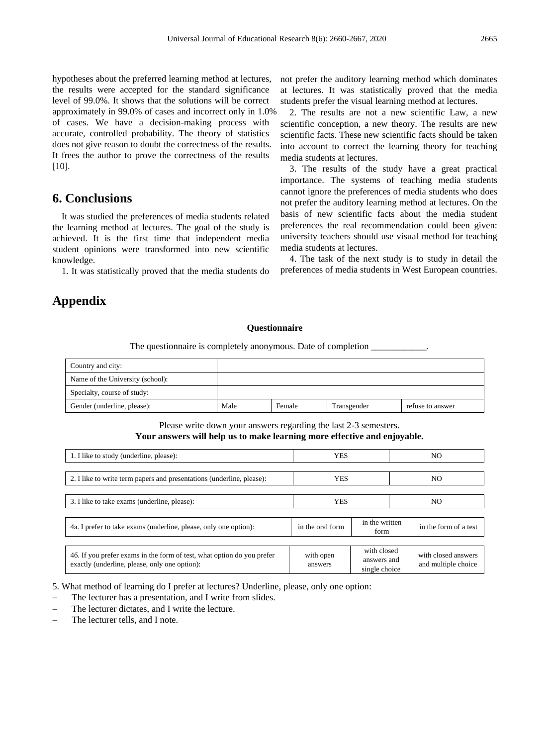hypotheses about the preferred learning method at lectures, the results were accepted for the standard significance level of 99.0%. It shows that the solutions will be correct approximately in 99.0% of cases and incorrect only in 1.0% of cases. We have a decision-making process with accurate, controlled probability. The theory of statistics does not give reason to doubt the correctness of the results. It frees the author to prove the correctness of the results

## **6. Conclusions**

 $[10]$ .

It was studied the preferences of media students related the learning method at lectures. The goal of the study is achieved. It is the first time that independent media student opinions were transformed into new scientific knowledge.

1. It was statistically proved that the media students do

## **Appendix**

not prefer the auditory learning method which dominates at lectures. It was statistically proved that the media students prefer the visual learning method at lectures.

2. The results are not a new scientific Law, a new scientific conception, a new theory. The results are new scientific facts. These new scientific facts should be taken into account to correct the learning theory for teaching media students at lectures.

3. The results of the study have a great practical importance. The systems of teaching media students cannot ignore the preferences of media students who does not prefer the auditory learning method at lectures. On the basis of new scientific facts about the media student preferences the real recommendation could been given: university teachers should use visual method for teaching media students at lectures.

4. The task of the next study is to study in detail the preferences of media students in West European countries.

#### **Questionnaire**

The questionnaire is completely anonymous. Date of completion  $\_\_$ 

| Country and city:                |      |        |             |                  |
|----------------------------------|------|--------|-------------|------------------|
| Name of the University (school): |      |        |             |                  |
| Specialty, course of study:      |      |        |             |                  |
| Gender (underline, please):      | Male | Female | Transgender | refuse to answer |

Please write down your answers regarding the last 2-3 semesters. **Your answers will help us to make learning more effective and enjoyable.**

| 1. I like to study (underline, please):                                                                                 | <b>YES</b>                                 |  | NO                                                                                        |                       |  |
|-------------------------------------------------------------------------------------------------------------------------|--------------------------------------------|--|-------------------------------------------------------------------------------------------|-----------------------|--|
| 2. I like to write term papers and presentations (underline, please):                                                   | <b>YES</b>                                 |  | NO                                                                                        |                       |  |
| 3. I like to take exams (underline, please):                                                                            | <b>YES</b>                                 |  | NO                                                                                        |                       |  |
| 4a. I prefer to take exams (underline, please, only one option):                                                        | in the written<br>in the oral form<br>form |  |                                                                                           | in the form of a test |  |
| 46. If you prefer exams in the form of test, what option do you prefer<br>exactly (underline, please, only one option): | with open<br>answers                       |  | with closed<br>with closed answers<br>answers and<br>and multiple choice<br>single choice |                       |  |

5. What method of learning do I prefer at lectures? Underline, please, only one option:

- The lecturer has a presentation, and I write from slides.
- The lecturer dictates, and I write the lecture.
- The lecturer tells, and I note.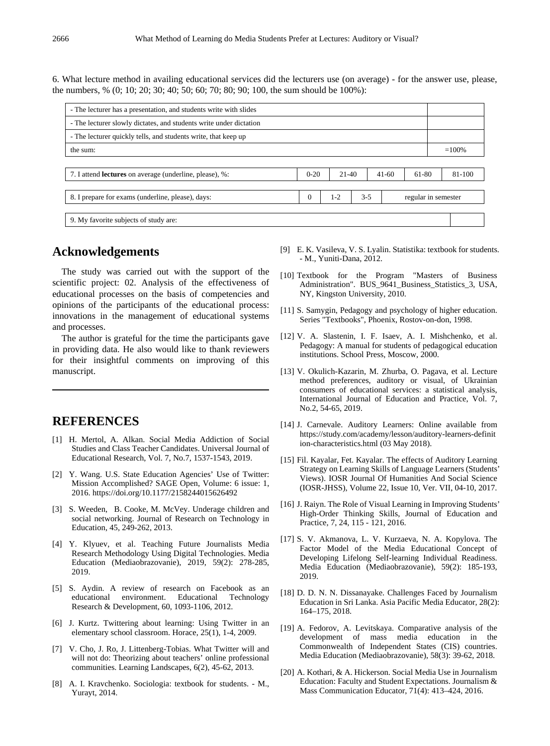6. What lecture method in availing educational services did the lecturers use (on average) - for the answer use, please, the numbers, % (0; 10; 20; 30; 40; 50; 60; 70; 80; 90; 100, the sum should be 100%):

| - The lecturer has a presentation, and students write with slides  |          |         |         |         |                     |          |
|--------------------------------------------------------------------|----------|---------|---------|---------|---------------------|----------|
| - The lecturer slowly dictates, and students write under dictation |          |         |         |         |                     |          |
| - The lecturer quickly tells, and students write, that keep up     |          |         |         |         |                     |          |
| the sum:                                                           |          |         |         |         |                     | $=100\%$ |
|                                                                    |          |         |         |         |                     |          |
| 7. I attend <b>lectures</b> on average (underline, please), %:     | $0 - 20$ | $21-40$ |         | $41-60$ | 61-80               | 81-100   |
|                                                                    |          |         |         |         |                     |          |
| 8. I prepare for exams (underline, please), days:                  | $\Omega$ | $1 - 2$ | $3 - 5$ |         | regular in semester |          |
|                                                                    |          |         |         |         |                     |          |
| 9. My favorite subjects of study are:                              |          |         |         |         |                     |          |

## **Acknowledgements**

The study was carried out with the support of the scientific project: 02. Analysis of the effectiveness of educational processes on the basis of competencies and opinions of the participants of the educational process: innovations in the management of educational systems and processes.

The author is grateful for the time the participants gave in providing data. He also would like to thank reviewers for their insightful comments on improving of this manuscript.

## **REFERENCES**

- [1] H. Mertol, A. Alkan. Social Media Addiction of Social Studies and Class Teacher Candidates. Universal Journal of Educational Research, Vol. 7, No.7, 1537-1543, 2019.
- [2] Y. Wang. U.S. State Education Agencies' Use of Twitter: Mission Accomplished? SAGE Open, Volume: 6 issue: 1, 2016. https://doi.org/10.1177/2158244015626492
- [3] S. Weeden, B. Cooke, M. McVey. Underage children and social networking. Journal of Research on Technology in Education, 45, 249-262, 2013.
- [4] Y. Klyuev, et al. Teaching Future Journalists Media Research Methodology Using Digital Technologies. Media Education (Mediaobrazovanie), 2019, 59(2): 278-285, 2019.
- [5] S. Aydin. A review of research on Facebook as an educational environment. Educational Technology Research & Development, 60, 1093-1106, 2012.
- [6] J. Kurtz. Twittering about learning: Using Twitter in an elementary school classroom. Horace, 25(1), 1-4, 2009.
- [7] V. Cho, J. Ro, J. Littenberg-Tobias. What Twitter will and will not do: Theorizing about teachers' online professional communities. Learning Landscapes, 6(2), 45-62, 2013.
- [8] A. I. Kravchenko. Sociologia: textbook for students. M., Yurayt, 2014.
- [9] E. K. Vasileva, V. S. Lyalin. Statistika: textbook for students. - M., Yuniti-Dana, 2012.
- [10] Textbook for the Program "Masters of Business Administration". BUS\_9641\_Business\_Statistics\_3, USA, NY, Kingston University, 2010.
- [11] S. Samygin, Pedagogy and psychology of higher education. Series "Textbooks", Phoenix, Rostov-on-don, 1998.
- [12] V. A. Slastenin, I. F. Isaev, A. I. Mishchenko, et al. Pedagogy: A manual for students of pedagogical education institutions. School Press, Moscow, 2000.
- [13] V. Okulich-Kazarin, M. Zhurba, O. Pagava, et al. Lecture method preferences, auditory or visual, of Ukrainian consumers of educational services: a statistical analysis, International Journal of Education and Practice, Vol. 7, No.2, 54-65, 2019.
- [14] J. Carnevale. Auditory Learners: Online available from https://study.com/academy/lesson/auditory-learners-definit ion-characteristics.html (03 May 2018).
- [15] Fil. Kayalar, Fet. Kayalar. The effects of Auditory Learning Strategy on Learning Skills of Language Learners (Students' Views). IOSR Journal Of Humanities And Social Science (IOSR-JHSS), Volume 22, Issue 10, Ver. VII, 04-10, 2017.
- [16] J. Raiyn. The Role of Visual Learning in Improving Students' High-Order Thinking Skills, Journal of Education and Practice, 7, 24, 115 - 121, 2016.
- [17] S. V. Akmanova, L. V. Kurzaeva, N. A. Kopylova. The Factor Model of the Media Educational Concept of Developing Lifelong Self-learning Individual Readiness. Media Education (Mediaobrazovanie), 59(2): 185-193, 2019.
- [18] D. D. N. N. Dissanayake. Challenges Faced by Journalism Education in Sri Lanka. Asia Pacific Media Educator, 28(2): 164–175, 2018.
- [19] A. Fedorov, A. Levitskaya. Comparative analysis of the development of mass media education in the Commonwealth of Independent States (CIS) countries. Media Education (Mediaobrazovanie), 58(3): 39-62, 2018.
- [20] A. Kothari, & A. Hickerson. Social Media Use in Journalism Education: Faculty and Student Expectations. Journalism & Mass Communication Educator, 71(4): 413–424, 2016.